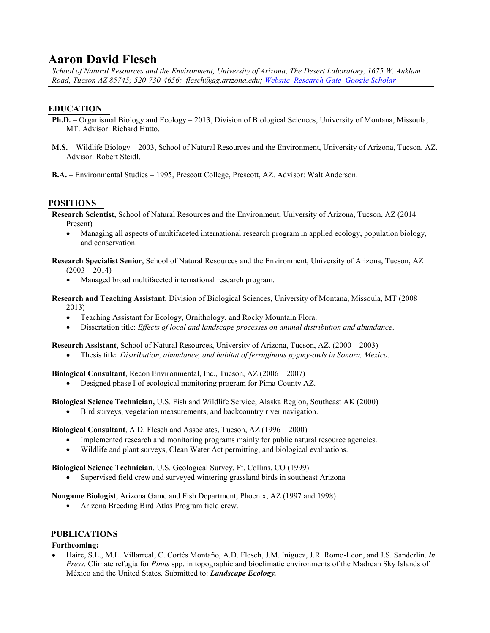# **Aaron David Flesch**

*School of Natural Resources and the Environment, University of Arizona, The Desert Laboratory, 1675 W. Anklam Road, Tucson AZ 85745; 520-730-4656; flesch@ag.arizona.edu; [Website](http://www.aaronflesch.com/) [Research Gate](https://www.researchgate.net/profile/Aaron-Flesch) [Google Scholar](https://scholar.google.com/citations?hl=en&user=v8b0aIMAAAAJ&view_op=list_works&gmla=AJsN-F4QOcv9vxzU4dbb1LjrAN0-Tx1mx8O7ry_612dhNEjEJ3Cp2_oPoRyxD7XSmY0Od3jeG4YVxoDvgcf_M-V4eQFNBDpbP_dY3m9R1XT7qaOjDU0X77s)*

# **EDUCATION**

- **Ph.D.** Organismal Biology and Ecology 2013, Division of Biological Sciences, University of Montana, Missoula, MT. Advisor: Richard Hutto.
- **M.S.** Wildlife Biology 2003, School of Natural Resources and the Environment, University of Arizona, Tucson, AZ. Advisor: Robert Steidl.
- **B.A.** Environmental Studies 1995, Prescott College, Prescott, AZ. Advisor: Walt Anderson.

#### **POSITIONS**

**Research Scientist**, School of Natural Resources and the Environment, University of Arizona, Tucson, AZ (2014 – Present)

• Managing all aspects of multifaceted international research program in applied ecology, population biology, and conservation.

**Research Specialist Senior**, School of Natural Resources and the Environment, University of Arizona, Tucson, AZ  $(2003 - 2014)$ 

- Managed broad multifaceted international research program.
- **Research and Teaching Assistant**, Division of Biological Sciences, University of Montana, Missoula, MT (2008 2013)
	- Teaching Assistant for Ecology, Ornithology, and Rocky Mountain Flora.
	- Dissertation title: *Effects of local and landscape processes on animal distribution and abundance*.

**Research Assistant**, School of Natural Resources, University of Arizona, Tucson, AZ. (2000 – 2003)

• Thesis title: *Distribution, abundance, and habitat of ferruginous pygmy-owls in Sonora, Mexico*.

**Biological Consultant**, Recon Environmental, Inc., Tucson, AZ (2006 – 2007)

• Designed phase I of ecological monitoring program for Pima County AZ.

**Biological Science Technician,** U.S. Fish and Wildlife Service, Alaska Region, Southeast AK (2000)

• Bird surveys, vegetation measurements, and backcountry river navigation.

**Biological Consultant**, A.D. Flesch and Associates, Tucson, AZ (1996 – 2000)

- Implemented research and monitoring programs mainly for public natural resource agencies.
- Wildlife and plant surveys, Clean Water Act permitting, and biological evaluations.

**Biological Science Technician**, U.S. Geological Survey, Ft. Collins, CO (1999)

Supervised field crew and surveyed wintering grassland birds in southeast Arizona

**Nongame Biologist**, Arizona Game and Fish Department, Phoenix, AZ (1997 and 1998)

• Arizona Breeding Bird Atlas Program field crew.

# **PUBLICATIONS Forthcoming:**

• Haire, S.L., M.L. Villarreal, C. Cortés Montaño, A.D. Flesch, J.M. Iniguez, J.R. Romo-Leon, and J.S. Sanderlin. *In Press*. Climate refugia for *Pinus* spp. in topographic and bioclimatic environments of the Madrean Sky Islands of México and the United States. Submitted to: *Landscape Ecology.*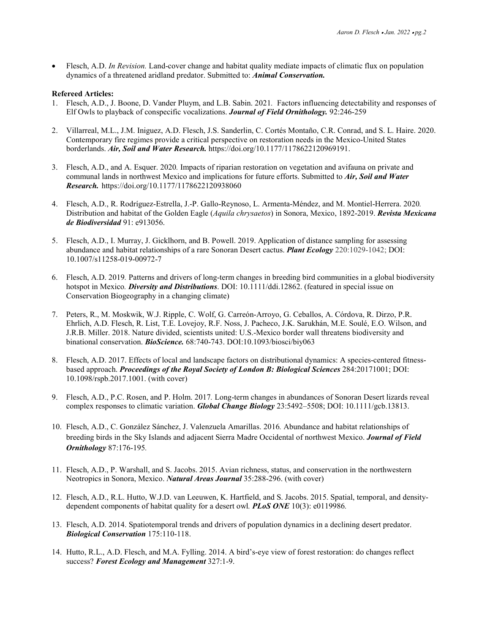• Flesch, A.D. *In Revision.* Land-cover change and habitat quality mediate impacts of climatic flux on population dynamics of a threatened aridland predator. Submitted to: *Animal Conservation.*

#### **Refereed Articles:**

- 1. Flesch, A.D., J. Boone, D. Vander Pluym, and L.B. Sabin. 2021*.* Factors influencing detectability and responses of Elf Owls to playback of conspecific vocalizations. *Journal of Field Ornithology.* 92:246-259
- 2. Villarreal, M.L., J.M. Iniguez, A.D. Flesch, J.S. Sanderlin, C. Cortés Montaño, C.R. Conrad, and S. L. Haire. 2020. Contemporary fire regimes provide a critical perspective on restoration needs in the Mexico-United States borderlands. *Air, Soil and Water Research.* https://doi.org/10.1177/1178622120969191.
- 3. Flesch, A.D., and A. Esquer. 2020*.* Impacts of riparian restoration on vegetation and avifauna on private and communal lands in northwest Mexico and implications for future efforts. Submitted to *Air, Soil and Water Research.* https://doi.org/10.1177/1178622120938060
- 4. Flesch, A.D., R. Rodríguez-Estrella, J.-P. Gallo-Reynoso, L. Armenta-Méndez, and M. Montiel-Herrera. 2020*.* Distribution and habitat of the Golden Eagle (*Aquila chrysaetos*) in Sonora, Mexico, 1892-2019. *Revista Mexicana de Biodiversidad* 91: e913056.
- 5. Flesch, A.D., I. Murray, J. Gicklhorn, and B. Powell. 2019. Application of distance sampling for assessing abundance and habitat relationships of a rare Sonoran Desert cactus. *Plant Ecology* 220:1029-1042; DOI: 10.1007/s11258-019-00972-7
- 6. Flesch, A.D. 2019*.* Patterns and drivers of long-term changes in breeding bird communities in a global biodiversity hotspot in Mexico*. Diversity and Distributions*. DOI: 10.1111/ddi.12862. (featured in special issue on Conservation Biogeography in a changing climate)
- 7. Peters, R., M. Moskwik, W.J. Ripple, C. Wolf, G. Carreón-Arroyo, G. Ceballos, A. Córdova, R. Dirzo, P.R. Ehrlich, A.D. Flesch, R. List, T.E. Lovejoy, R.F. Noss, J. Pacheco, J.K. Sarukhán, M.E. Soulé, E.O. Wilson, and J.R.B. Miller. 2018. Nature divided, scientists united: U.S.-Mexico border wall threatens biodiversity and binational conservation. *BioScience.* 68:740-743. DOI:10.1093/biosci/biy063
- 8. Flesch, A.D. 2017. Effects of local and landscape factors on distributional dynamics: A species-centered fitnessbased approach. *Proceedings of the Royal Society of London B: Biological Sciences* 284:20171001; DOI: 10.1098/rspb.2017.1001. (with cover)
- 9. Flesch, A.D., P.C. Rosen, and P. Holm. 2017*.* Long-term changes in abundances of Sonoran Desert lizards reveal complex responses to climatic variation. *Global Change Biology* 23:5492–5508; DOI: 10.1111/gcb.13813.
- 10. Flesch, A.D., C. González Sánchez, J. Valenzuela Amarillas. 2016*.* Abundance and habitat relationships of breeding birds in the Sky Islands and adjacent Sierra Madre Occidental of northwest Mexico. *Journal of Field Ornithology* 87:176-195*.*
- 11. Flesch, A.D., P. Warshall, and S. Jacobs. 2015. Avian richness, status, and conservation in the northwestern Neotropics in Sonora, Mexico. *Natural Areas Journal* 35:288-296. (with cover)
- 12. Flesch, A.D., R.L. Hutto, W.J.D. van Leeuwen, K. Hartfield, and S. Jacobs. 2015. Spatial, temporal, and densitydependent components of habitat quality for a desert owl*. PLoS ONE* 10(3): e0119986*.*
- 13. Flesch, A.D. 2014. Spatiotemporal trends and drivers of population dynamics in a declining desert predator. *Biological Conservation* 175:110-118.
- 14. Hutto, R.L., A.D. Flesch, and M.A. Fylling. 2014. A bird's-eye view of forest restoration: do changes reflect success? *Forest Ecology and Management* 327:1-9.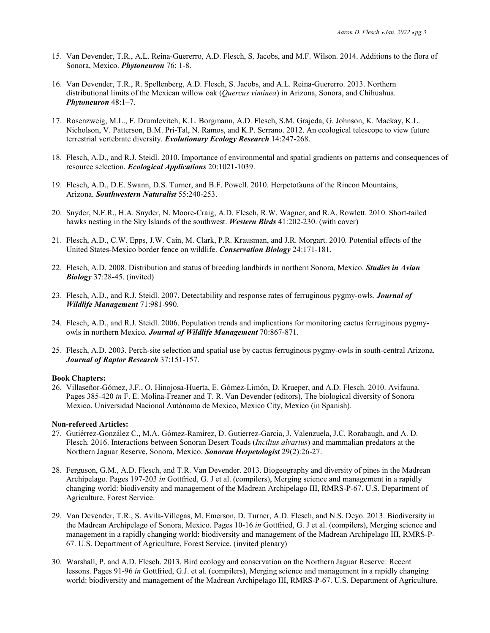- 15. Van Devender, T.R., A.L. Reina-Guererro, A.D. Flesch, S. Jacobs, and M.F. Wilson. 2014. Additions to the flora of Sonora, Mexico. *Phytoneuron* 76: 1-8.
- 16. Van Devender, T.R., R. Spellenberg, A.D. Flesch, S. Jacobs, and A.L. Reina-Guererro. 2013. Northern distributional limits of the Mexican willow oak (*Quercus viminea*) in Arizona, Sonora, and Chihuahua. *Phytoneuron* 48:1–7.
- 17. Rosenzweig, M.L., F. Drumlevitch, K.L. Borgmann, A.D. Flesch, S.M. Grajeda, G. Johnson, K. Mackay, K.L. Nicholson, V. Patterson, B.M. Pri-Tal, N. Ramos, and K.P. Serrano. 2012. An ecological telescope to view future terrestrial vertebrate diversity. *Evolutionary Ecology Research* 14:247-268.
- 18. Flesch, A.D., and R.J. Steidl. 2010. Importance of environmental and spatial gradients on patterns and consequences of resource selection. *Ecological Applications* 20:1021-1039.
- 19. Flesch, A.D., D.E. Swann, D.S. Turner, and B.F. Powell. 2010*.* Herpetofauna of the Rincon Mountains, Arizona. *Southwestern Naturalist* 55:240-253.
- 20. Snyder, N.F.R., H.A. Snyder, N. Moore-Craig, A.D. Flesch, R.W. Wagner, and R.A. Rowlett. 2010. Short-tailed hawks nesting in the Sky Islands of the southwest. *Western Birds* 41:202-230. (with cover)
- 21. Flesch, A.D., C.W. Epps, J.W. Cain, M. Clark, P.R. Krausman, and J.R. Morgart. 2010*.* Potential effects of the United States-Mexico border fence on wildlife. *Conservation Biology* 24:171-181.
- 22. Flesch, A.D. 2008*.* Distribution and status of breeding landbirds in northern Sonora, Mexico. *Studies in Avian Biology* 37:28-45. (invited)
- 23. Flesch, A.D., and R.J. Steidl. 2007. Detectability and response rates of ferruginous pygmy-owls*. Journal of Wildlife Management* 71:981-990.
- 24. Flesch, A.D., and R.J. Steidl. 2006. Population trends and implications for monitoring cactus ferruginous pygmyowls in northern Mexico*. Journal of Wildlife Management* 70:867-871*.*
- 25. Flesch, A.D. 2003. Perch-site selection and spatial use by cactus ferruginous pygmy-owls in south-central Arizona. *Journal of Raptor Research* 37:151-157.

#### **Book Chapters:**

26. Villaseñor-Gómez, J.F., O. Hinojosa-Huerta, E. Gómez-Limón, D. Krueper, and A.D. Flesch. 2010. Avifauna. Pages 385-420 *in* F. E. Molina-Freaner and T. R. Van Devender (editors), The biological diversity of Sonora Mexico. Universidad Nacional Autónoma de Mexico, Mexico City, Mexico (in Spanish).

#### **Non-refereed Articles:**

- 27. Gutiérrez-González C., M.A. Gómez-Ramírez, D. Gutierrez-Garcia, J. Valenzuela, J.C. Rorabaugh, and A. D. Flesch. 2016. Interactions between Sonoran Desert Toads (*Incilius alvarius*) and mammalian predators at the Northern Jaguar Reserve, Sonora, Mexico. *Sonoran Herpetologist* 29(2):26-27.
- 28. Ferguson, G.M., A.D. Flesch, and T.R. Van Devender. 2013. Biogeography and diversity of pines in the Madrean Archipelago. Pages 197-203 *in* Gottfried, G. J et al. (compilers), Merging science and management in a rapidly changing world: biodiversity and management of the Madrean Archipelago III, RMRS-P-67. U.S. Department of Agriculture, Forest Service.
- 29. Van Devender, T.R., S. Avila-Villegas, M. Emerson, D. Turner, A.D. Flesch, and N.S. Deyo. 2013. Biodiversity in the Madrean Archipelago of Sonora, Mexico. Pages 10-16 *in* Gottfried, G. J et al. (compilers), Merging science and management in a rapidly changing world: biodiversity and management of the Madrean Archipelago III, RMRS-P-67. U.S. Department of Agriculture, Forest Service. (invited plenary)
- 30. Warshall, P. and A.D. Flesch. 2013. Bird ecology and conservation on the Northern Jaguar Reserve: Recent lessons. Pages 91-96 *in* Gottfried, G.J. et al. (compilers), Merging science and management in a rapidly changing world: biodiversity and management of the Madrean Archipelago III, RMRS-P-67. U.S. Department of Agriculture,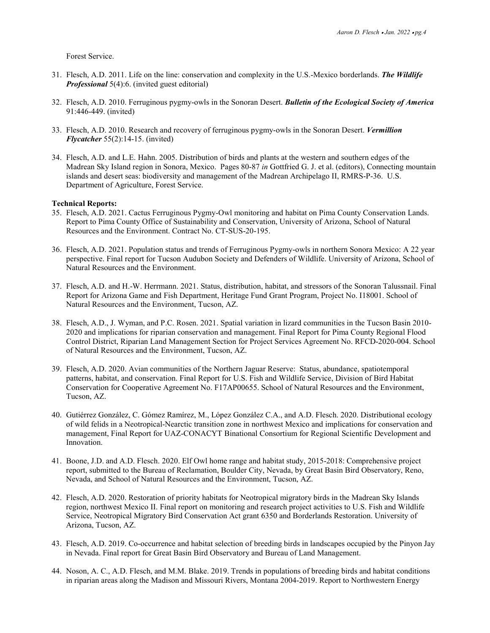Forest Service.

- 31. Flesch, A.D. 2011. Life on the line: conservation and complexity in the U.S.-Mexico borderlands. *The Wildlife Professional* 5(4):6. (invited guest editorial)
- 32. Flesch, A.D. 2010. Ferruginous pygmy-owls in the Sonoran Desert. *Bulletin of the Ecological Society of America* 91:446-449. (invited)
- 33. Flesch, A.D. 2010. Research and recovery of ferruginous pygmy-owls in the Sonoran Desert. *Vermillion Flycatcher* 55(2):14-15. (invited)
- 34. Flesch, A.D. and L.E. Hahn. 2005. Distribution of birds and plants at the western and southern edges of the Madrean Sky Island region in Sonora, Mexico. Pages 80-87 *in* Gottfried G. J. et al. (editors), Connecting mountain islands and desert seas: biodiversity and management of the Madrean Archipelago II, RMRS-P-36. U.S. Department of Agriculture, Forest Service.

#### **Technical Reports:**

- 35. Flesch, A.D. 2021. Cactus Ferruginous Pygmy-Owl monitoring and habitat on Pima County Conservation Lands. Report to Pima County Office of Sustainability and Conservation, University of Arizona, School of Natural Resources and the Environment. Contract No. CT-SUS-20-195.
- 36. Flesch, A.D. 2021. Population status and trends of Ferruginous Pygmy-owls in northern Sonora Mexico: A 22 year perspective. Final report for Tucson Audubon Society and Defenders of Wildlife. University of Arizona, School of Natural Resources and the Environment.
- 37. Flesch, A.D. and H.-W. Herrmann. 2021. Status, distribution, habitat, and stressors of the Sonoran Talussnail. Final Report for Arizona Game and Fish Department, Heritage Fund Grant Program, Project No. I18001. School of Natural Resources and the Environment, Tucson, AZ.
- 38. Flesch, A.D., J. Wyman, and P.C. Rosen. 2021. Spatial variation in lizard communities in the Tucson Basin 2010- 2020 and implications for riparian conservation and management. Final Report for Pima County Regional Flood Control District, Riparian Land Management Section for Project Services Agreement No. RFCD-2020-004. School of Natural Resources and the Environment, Tucson, AZ.
- 39. Flesch, A.D. 2020. Avian communities of the Northern Jaguar Reserve: Status, abundance, spatiotemporal patterns, habitat, and conservation. Final Report for U.S. Fish and Wildlife Service, Division of Bird Habitat Conservation for Cooperative Agreement No. F17AP00655. School of Natural Resources and the Environment, Tucson, AZ.
- 40. Gutiérrez González, C. Gómez Ramírez, M., López González C.A., and A.D. Flesch. 2020. Distributional ecology of wild felids in a Neotropical-Nearctic transition zone in northwest Mexico and implications for conservation and management, Final Report for UAZ-CONACYT Binational Consortium for Regional Scientific Development and Innovation.
- 41. Boone, J.D. and A.D. Flesch. 2020. Elf Owl home range and habitat study, 2015-2018: Comprehensive project report, submitted to the Bureau of Reclamation, Boulder City, Nevada, by Great Basin Bird Observatory, Reno, Nevada, and School of Natural Resources and the Environment, Tucson, AZ.
- 42. Flesch, A.D. 2020. Restoration of priority habitats for Neotropical migratory birds in the Madrean Sky Islands region, northwest Mexico II. Final report on monitoring and research project activities to U.S. Fish and Wildlife Service, Neotropical Migratory Bird Conservation Act grant 6350 and Borderlands Restoration. University of Arizona, Tucson, AZ.
- 43. Flesch, A.D. 2019. Co-occurrence and habitat selection of breeding birds in landscapes occupied by the Pinyon Jay in Nevada. Final report for Great Basin Bird Observatory and Bureau of Land Management.
- 44. Noson, A. C., A.D. Flesch, and M.M. Blake. 2019. Trends in populations of breeding birds and habitat conditions in riparian areas along the Madison and Missouri Rivers, Montana 2004-2019. Report to Northwestern Energy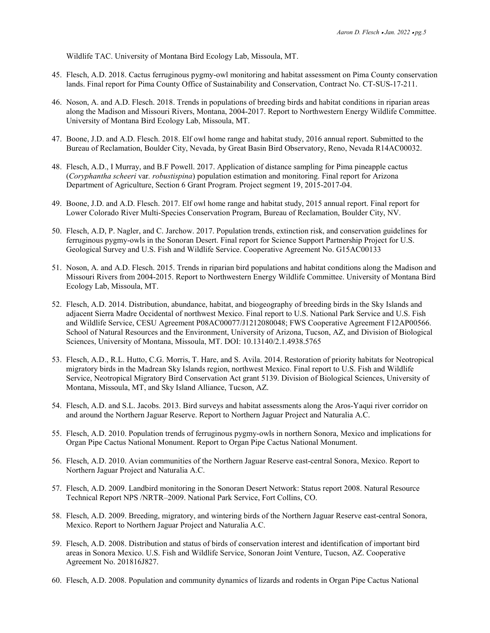Wildlife TAC. University of Montana Bird Ecology Lab, Missoula, MT.

- 45. Flesch, A.D. 2018. Cactus ferruginous pygmy-owl monitoring and habitat assessment on Pima County conservation lands. Final report for Pima County Office of Sustainability and Conservation, Contract No. CT-SUS-17-211.
- 46. Noson, A. and A.D. Flesch. 2018. Trends in populations of breeding birds and habitat conditions in riparian areas along the Madison and Missouri Rivers, Montana, 2004-2017. Report to Northwestern Energy Wildlife Committee. University of Montana Bird Ecology Lab, Missoula, MT.
- 47. Boone, J.D. and A.D. Flesch. 2018. Elf owl home range and habitat study, 2016 annual report. Submitted to the Bureau of Reclamation, Boulder City, Nevada, by Great Basin Bird Observatory, Reno, Nevada R14AC00032.
- 48. Flesch, A.D., I Murray, and B.F Powell. 2017. Application of distance sampling for Pima pineapple cactus (*Coryphantha scheeri* var*. robustispina*) population estimation and monitoring. Final report for Arizona Department of Agriculture, Section 6 Grant Program. Project segment 19, 2015-2017-04.
- 49. Boone, J.D. and A.D. Flesch. 2017. Elf owl home range and habitat study, 2015 annual report. Final report for Lower Colorado River Multi-Species Conservation Program, Bureau of Reclamation, Boulder City, NV.
- 50. Flesch, A.D, P. Nagler, and C. Jarchow. 2017. Population trends, extinction risk, and conservation guidelines for ferruginous pygmy-owls in the Sonoran Desert. Final report for Science Support Partnership Project for U.S. Geological Survey and U.S. Fish and Wildlife Service. Cooperative Agreement No. G15AC00133
- 51. Noson, A. and A.D. Flesch. 2015. Trends in riparian bird populations and habitat conditions along the Madison and Missouri Rivers from 2004-2015. Report to Northwestern Energy Wildlife Committee. University of Montana Bird Ecology Lab, Missoula, MT.
- 52. Flesch, A.D. 2014. Distribution, abundance, habitat, and biogeography of breeding birds in the Sky Islands and adjacent Sierra Madre Occidental of northwest Mexico. Final report to U.S. National Park Service and U.S. Fish and Wildlife Service, CESU Agreement P08AC00077/J1212080048; FWS Cooperative Agreement F12AP00566. School of Natural Resources and the Environment, University of Arizona, Tucson, AZ, and Division of Biological Sciences, University of Montana, Missoula, MT. DOI: 10.13140/2.1.4938.5765
- 53. Flesch, A.D., R.L. Hutto, C.G. Morris, T. Hare, and S. Avila. 2014. Restoration of priority habitats for Neotropical migratory birds in the Madrean Sky Islands region, northwest Mexico. Final report to U.S. Fish and Wildlife Service, Neotropical Migratory Bird Conservation Act grant 5139. Division of Biological Sciences, University of Montana, Missoula, MT, and Sky Island Alliance, Tucson, AZ.
- 54. Flesch, A.D. and S.L. Jacobs. 2013. Bird surveys and habitat assessments along the Aros-Yaqui river corridor on and around the Northern Jaguar Reserve. Report to Northern Jaguar Project and Naturalia A.C.
- 55. Flesch, A.D. 2010. Population trends of ferruginous pygmy-owls in northern Sonora, Mexico and implications for Organ Pipe Cactus National Monument. Report to Organ Pipe Cactus National Monument.
- 56. Flesch, A.D. 2010. Avian communities of the Northern Jaguar Reserve east-central Sonora, Mexico. Report to Northern Jaguar Project and Naturalia A.C.
- 57. Flesch, A.D. 2009. Landbird monitoring in the Sonoran Desert Network: Status report 2008. Natural Resource Technical Report NPS /NRTR–2009. National Park Service, Fort Collins, CO.
- 58. Flesch, A.D. 2009. Breeding, migratory, and wintering birds of the Northern Jaguar Reserve east-central Sonora, Mexico. Report to Northern Jaguar Project and Naturalia A.C.
- 59. Flesch, A.D. 2008. Distribution and status of birds of conservation interest and identification of important bird areas in Sonora Mexico. U.S. Fish and Wildlife Service, Sonoran Joint Venture, Tucson, AZ. Cooperative Agreement No. 201816J827.
- 60. Flesch, A.D. 2008. Population and community dynamics of lizards and rodents in Organ Pipe Cactus National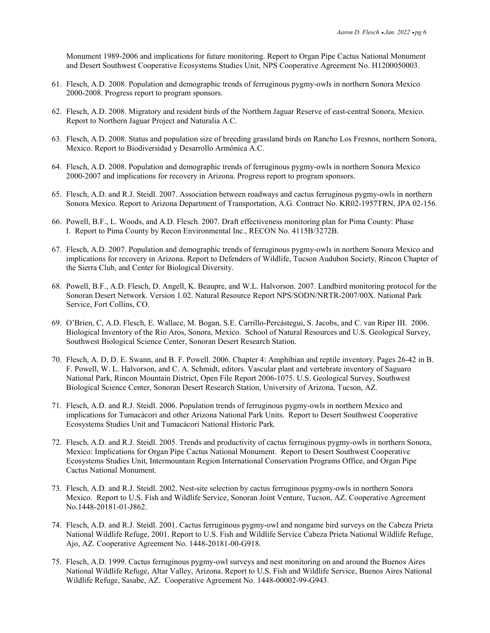Monument 1989-2006 and implications for future monitoring. Report to Organ Pipe Cactus National Monument and Desert Southwest Cooperative Ecosystems Studies Unit, NPS Cooperative Agreement No. H1200050003.

- 61. Flesch, A.D. 2008. Population and demographic trends of ferruginous pygmy-owls in northern Sonora Mexico 2000-2008. Progress report to program sponsors.
- 62. Flesch, A.D. 2008. Migratory and resident birds of the Northern Jaguar Reserve of east-central Sonora, Mexico. Report to Northern Jaguar Project and Naturalia A.C.
- 63. Flesch, A.D. 2008. Status and population size of breeding grassland birds on Rancho Los Fresnos, northern Sonora, Mexico. Report to Biodiversidad y Desarrollo Armónica A.C.
- 64. Flesch, A.D. 2008. Population and demographic trends of ferruginous pygmy-owls in northern Sonora Mexico 2000-2007 and implications for recovery in Arizona. Progress report to program sponsors.
- 65. Flesch, A.D. and R.J. Steidl. 2007. Association between roadways and cactus ferruginous pygmy-owls in northern Sonora Mexico. Report to Arizona Department of Transportation, A.G. Contract No. KR02-1957TRN, JPA 02-156.
- 66. Powell, B.F., L. Woods, and A.D. Flesch. 2007. Draft effectiveness monitoring plan for Pima County: Phase I. Report to Pima County by Recon Environmental Inc., RECON No. 4115B/3272B.
- 67. Flesch, A.D. 2007. Population and demographic trends of ferruginous pygmy-owls in northern Sonora Mexico and implications for recovery in Arizona. Report to Defenders of Wildlife, Tucson Audubon Society, Rincon Chapter of the Sierra Club, and Center for Biological Diversity.
- 68. Powell, B.F., A.D. Flesch, D. Angell, K. Beaupre, and W.L. Halvorson. 2007. Landbird monitoring protocol for the Sonoran Desert Network. Version 1.02. Natural Resource Report NPS/SODN/NRTR-2007/00X. National Park Service, Fort Collins, CO.
- 69. O'Brien, C, A.D. Flesch, E. Wallace, M. Bogan, S.E. Carrillo-Percástegui, S. Jacobs, and C. van Riper III. 2006. Biological Inventory of the Rio Aros, Sonora, Mexico. School of Natural Resources and U.S. Geological Survey, Southwest Biological Science Center, Sonoran Desert Research Station.
- 70. Flesch, A. D, D. E. Swann, and B. F. Powell. 2006. Chapter 4: Amphibian and reptile inventory. Pages 26-42 in B. F. Powell, W. L. Halvorson, and C. A. Schmidt, editors. Vascular plant and vertebrate inventory of Saguaro National Park, Rincon Mountain District, Open File Report 2006-1075. U.S. Geological Survey, Southwest Biological Science Center, Sonoran Desert Research Station, University of Arizona, Tucson, AZ.
- 71. Flesch, A.D. and R.J. Steidl. 2006. Population trends of ferruginous pygmy-owls in northern Mexico and implications for Tumacácori and other Arizona National Park Units. Report to Desert Southwest Cooperative Ecosystems Studies Unit and Tumacácori National Historic Park.
- 72. Flesch, A.D. and R.J. Steidl. 2005. Trends and productivity of cactus ferruginous pygmy-owls in northern Sonora, Mexico: Implications for Organ Pipe Cactus National Monument. Report to Desert Southwest Cooperative Ecosystems Studies Unit, Intermountain Region International Conservation Programs Office, and Organ Pipe Cactus National Monument.
- 73. Flesch, A.D. and R.J. Steidl. 2002. Nest-site selection by cactus ferruginous pygmy-owls in northern Sonora Mexico. Report to U.S. Fish and Wildlife Service, Sonoran Joint Venture, Tucson, AZ. Cooperative Agreement No.1448-20181-01-J862.
- 74. Flesch, A.D. and R.J. Steidl. 2001. Cactus ferruginous pygmy-owl and nongame bird surveys on the Cabeza Prieta National Wildlife Refuge, 2001. Report to U.S. Fish and Wildlife Service Cabeza Prieta National Wildlife Refuge, Ajo, AZ. Cooperative Agreement No. 1448-20181-00-G918.
- 75. Flesch, A.D. 1999. Cactus ferruginous pygmy-owl surveys and nest monitoring on and around the Buenos Aires National Wildlife Refuge, Altar Valley, Arizona. Report to U.S. Fish and Wildlife Service, Buenos Aires National Wildlife Refuge, Sasabe, AZ. Cooperative Agreement No. 1448-00002-99-G943.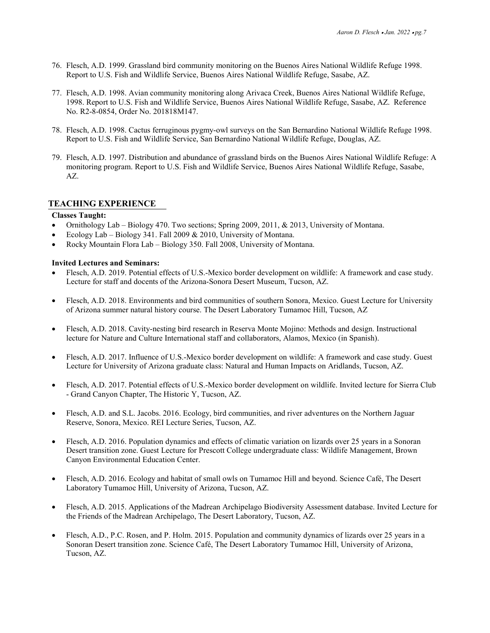- 76. Flesch, A.D. 1999. Grassland bird community monitoring on the Buenos Aires National Wildlife Refuge 1998. Report to U.S. Fish and Wildlife Service, Buenos Aires National Wildlife Refuge, Sasabe, AZ.
- 77. Flesch, A.D. 1998. Avian community monitoring along Arivaca Creek, Buenos Aires National Wildlife Refuge, 1998. Report to U.S. Fish and Wildlife Service, Buenos Aires National Wildlife Refuge, Sasabe, AZ. Reference No. R2-8-0854, Order No. 201818M147.
- 78. Flesch, A.D. 1998. Cactus ferruginous pygmy-owl surveys on the San Bernardino National Wildlife Refuge 1998. Report to U.S. Fish and Wildlife Service, San Bernardino National Wildlife Refuge, Douglas, AZ.
- 79. Flesch, A.D. 1997. Distribution and abundance of grassland birds on the Buenos Aires National Wildlife Refuge: A monitoring program. Report to U.S. Fish and Wildlife Service, Buenos Aires National Wildlife Refuge, Sasabe, AZ.

### **TEACHING EXPERIENCE**

#### **Classes Taught:**

- Ornithology Lab Biology 470. Two sections; Spring 2009, 2011, & 2013, University of Montana.
- Ecology Lab Biology 341. Fall 2009 & 2010, University of Montana.
- Rocky Mountain Flora Lab Biology 350. Fall 2008, University of Montana.

#### **Invited Lectures and Seminars:**

- Flesch, A.D. 2019. Potential effects of U.S.-Mexico border development on wildlife: A framework and case study. Lecture for staff and docents of the Arizona-Sonora Desert Museum, Tucson, AZ.
- Flesch, A.D. 2018. Environments and bird communities of southern Sonora, Mexico. Guest Lecture for University of Arizona summer natural history course. The Desert Laboratory Tumamoc Hill, Tucson, AZ
- Flesch, A.D. 2018. Cavity-nesting bird research in Reserva Monte Mojino: Methods and design. Instructional lecture for Nature and Culture International staff and collaborators, Alamos, Mexico (in Spanish).
- Flesch, A.D. 2017. Influence of U.S.-Mexico border development on wildlife: A framework and case study. Guest Lecture for University of Arizona graduate class: Natural and Human Impacts on Aridlands, Tucson, AZ.
- Flesch, A.D. 2017. Potential effects of U.S.-Mexico border development on wildlife. Invited lecture for Sierra Club - Grand Canyon Chapter, The Historic Y, Tucson, AZ.
- Flesch, A.D. and S.L. Jacobs. 2016. Ecology, bird communities, and river adventures on the Northern Jaguar Reserve, Sonora, Mexico. REI Lecture Series, Tucson, AZ.
- Flesch, A.D. 2016. Population dynamics and effects of climatic variation on lizards over 25 years in a Sonoran Desert transition zone. Guest Lecture for Prescott College undergraduate class: Wildlife Management, Brown Canyon Environmental Education Center.
- Flesch, A.D. 2016. Ecology and habitat of small owls on Tumamoc Hill and beyond. Science Café, The Desert Laboratory Tumamoc Hill, University of Arizona, Tucson, AZ.
- Flesch, A.D. 2015. Applications of the Madrean Archipelago Biodiversity Assessment database. Invited Lecture for the Friends of the Madrean Archipelago, The Desert Laboratory, Tucson, AZ.
- Flesch, A.D., P.C. Rosen, and P. Holm. 2015. Population and community dynamics of lizards over 25 years in a Sonoran Desert transition zone. Science Café, The Desert Laboratory Tumamoc Hill, University of Arizona, Tucson, AZ.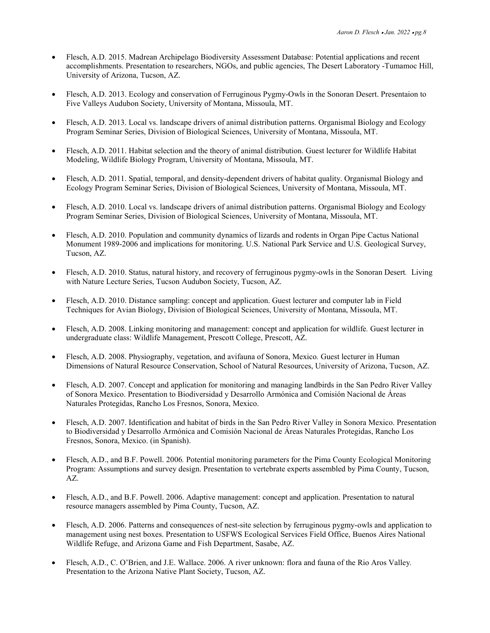- Flesch, A.D. 2015. Madrean Archipelago Biodiversity Assessment Database: Potential applications and recent accomplishments. Presentation to researchers, NGOs, and public agencies, The Desert Laboratory -Tumamoc Hill, University of Arizona, Tucson, AZ.
- Flesch, A.D. 2013. Ecology and conservation of Ferruginous Pygmy-Owls in the Sonoran Desert. Presentaion to Five Valleys Audubon Society, University of Montana, Missoula, MT.
- Flesch, A.D. 2013. Local vs. landscape drivers of animal distribution patterns. Organismal Biology and Ecology Program Seminar Series, Division of Biological Sciences, University of Montana, Missoula, MT.
- Flesch, A.D. 2011. Habitat selection and the theory of animal distribution. Guest lecturer for Wildlife Habitat Modeling, Wildlife Biology Program, University of Montana, Missoula, MT.
- Flesch, A.D. 2011. Spatial, temporal, and density-dependent drivers of habitat quality. Organismal Biology and Ecology Program Seminar Series, Division of Biological Sciences, University of Montana, Missoula, MT.
- Flesch, A.D. 2010. Local vs. landscape drivers of animal distribution patterns. Organismal Biology and Ecology Program Seminar Series, Division of Biological Sciences, University of Montana, Missoula, MT.
- Flesch, A.D. 2010. Population and community dynamics of lizards and rodents in Organ Pipe Cactus National Monument 1989-2006 and implications for monitoring. U.S. National Park Service and U.S. Geological Survey, Tucson, AZ.
- Flesch, A.D. 2010. Status, natural history, and recovery of ferruginous pygmy-owls in the Sonoran Desert*.* Living with Nature Lecture Series, Tucson Audubon Society, Tucson, AZ.
- Flesch, A.D. 2010. Distance sampling: concept and application. Guest lecturer and computer lab in Field Techniques for Avian Biology, Division of Biological Sciences, University of Montana, Missoula, MT.
- Flesch, A.D. 2008. Linking monitoring and management: concept and application for wildlife*.* Guest lecturer in undergraduate class: Wildlife Management, Prescott College, Prescott, AZ.
- Flesch, A.D. 2008. Physiography, vegetation, and avifauna of Sonora, Mexico*.* Guest lecturer in Human Dimensions of Natural Resource Conservation, School of Natural Resources, University of Arizona, Tucson, AZ.
- Flesch, A.D. 2007. Concept and application for monitoring and managing landbirds in the San Pedro River Valley of Sonora Mexico. Presentation to Biodiversidad y Desarrollo Armónica and Comisión Nacional de Áreas Naturales Protegidas, Rancho Los Fresnos, Sonora, Mexico.
- Flesch, A.D. 2007. Identification and habitat of birds in the San Pedro River Valley in Sonora Mexico. Presentation to Biodiversidad y Desarrollo Armónica and Comisión Nacional de Áreas Naturales Protegidas, Rancho Los Fresnos, Sonora, Mexico. (in Spanish).
- Flesch, A.D., and B.F. Powell. 2006*.* Potential monitoring parameters for the Pima County Ecological Monitoring Program: Assumptions and survey design. Presentation to vertebrate experts assembled by Pima County, Tucson, AZ.
- Flesch, A.D., and B.F. Powell. 2006. Adaptive management: concept and application. Presentation to natural resource managers assembled by Pima County, Tucson, AZ.
- Flesch, A.D. 2006. Patterns and consequences of nest-site selection by ferruginous pygmy-owls and application to management using nest boxes. Presentation to USFWS Ecological Services Field Office, Buenos Aires National Wildlife Refuge, and Arizona Game and Fish Department, Sasabe, AZ.
- Flesch, A.D., C. O'Brien, and J.E. Wallace. 2006. A river unknown: flora and fauna of the Rio Aros Valley*.* Presentation to the Arizona Native Plant Society, Tucson, AZ.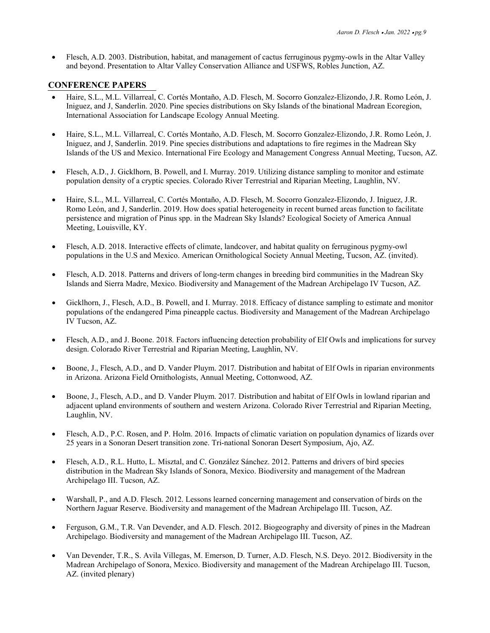• Flesch, A.D. 2003. Distribution, habitat, and management of cactus ferruginous pygmy-owls in the Altar Valley and beyond. Presentation to Altar Valley Conservation Alliance and USFWS, Robles Junction, AZ.

# **CONFERENCE PAPERS \**

- Haire, S.L., M.L. Villarreal, C. Cortés Montaño, A.D. Flesch, M. Socorro Gonzalez-Elizondo, J.R. Romo León, J. Iniguez, and J, Sanderlin. 2020. Pine species distributions on Sky Islands of the binational Madrean Ecoregion, International Association for Landscape Ecology Annual Meeting.
- Haire, S.L., M.L. Villarreal, C. Cortés Montaño, A.D. Flesch, M. Socorro Gonzalez-Elizondo, J.R. Romo León, J. Iniguez, and J, Sanderlin. 2019. Pine species distributions and adaptations to fire regimes in the Madrean Sky Islands of the US and Mexico. International Fire Ecology and Management Congress Annual Meeting, Tucson, AZ.
- Flesch, A.D., J. Gicklhorn, B. Powell, and I. Murray. 2019. Utilizing distance sampling to monitor and estimate population density of a cryptic species. Colorado River Terrestrial and Riparian Meeting, Laughlin, NV.
- Haire, S.L., M.L. Villarreal, C. Cortés Montaño, A.D. Flesch, M. Socorro Gonzalez-Elizondo, J. Iniguez, J.R. Romo León, and J, Sanderlin. 2019. How does spatial heterogeneity in recent burned areas function to facilitate persistence and migration of Pinus spp. in the Madrean Sky Islands? Ecological Society of America Annual Meeting, Louisville, KY.
- Flesch, A.D. 2018. Interactive effects of climate, landcover, and habitat quality on ferruginous pygmy-owl populations in the U.S and Mexico. American Ornithological Society Annual Meeting, Tucson, AZ. (invited).
- Flesch, A.D. 2018. Patterns and drivers of long-term changes in breeding bird communities in the Madrean Sky Islands and Sierra Madre, Mexico. Biodiversity and Management of the Madrean Archipelago IV Tucson, AZ.
- Gicklhorn, J., Flesch, A.D., B. Powell, and I. Murray. 2018. Efficacy of distance sampling to estimate and monitor populations of the endangered Pima pineapple cactus. Biodiversity and Management of the Madrean Archipelago IV Tucson, AZ.
- Flesch, A.D., and J. Boone. 2018*.* Factors influencing detection probability of Elf Owls and implications for survey design. Colorado River Terrestrial and Riparian Meeting, Laughlin, NV.
- Boone, J., Flesch, A.D., and D. Vander Pluym. 2017*.* Distribution and habitat of Elf Owls in riparian environments in Arizona. Arizona Field Ornithologists, Annual Meeting, Cottonwood, AZ.
- Boone, J., Flesch, A.D., and D. Vander Pluym. 2017*.* Distribution and habitat of Elf Owls in lowland riparian and adjacent upland environments of southern and western Arizona. Colorado River Terrestrial and Riparian Meeting, Laughlin, NV.
- Flesch, A.D., P.C. Rosen, and P. Holm. 2016*.* Impacts of climatic variation on population dynamics of lizards over 25 years in a Sonoran Desert transition zone. Tri-national Sonoran Desert Symposium, Ajo, AZ.
- Flesch, A.D., R.L. Hutto, L. Misztal, and C. González Sánchez. 2012. Patterns and drivers of bird species distribution in the Madrean Sky Islands of Sonora, Mexico. Biodiversity and management of the Madrean Archipelago III. Tucson, AZ.
- Warshall, P., and A.D. Flesch. 2012. Lessons learned concerning management and conservation of birds on the Northern Jaguar Reserve. Biodiversity and management of the Madrean Archipelago III. Tucson, AZ.
- Ferguson, G.M., T.R. Van Devender, and A.D. Flesch. 2012. Biogeography and diversity of pines in the Madrean Archipelago. Biodiversity and management of the Madrean Archipelago III. Tucson, AZ.
- Van Devender, T.R., S. Avila Villegas, M. Emerson, D. Turner, A.D. Flesch, N.S. Deyo. 2012. Biodiversity in the Madrean Archipelago of Sonora, Mexico. Biodiversity and management of the Madrean Archipelago III. Tucson, AZ. (invited plenary)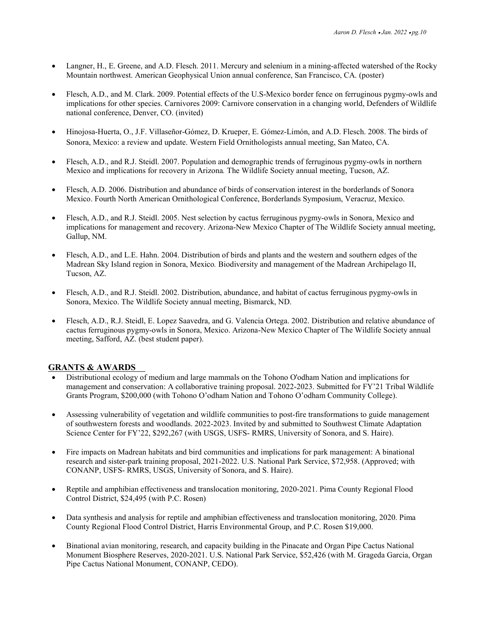- Langner, H., E. Greene, and A.D. Flesch. 2011. Mercury and selenium in a mining-affected watershed of the Rocky Mountain northwest. American Geophysical Union annual conference, San Francisco, CA. (poster)
- Flesch, A.D., and M. Clark. 2009. Potential effects of the U.S-Mexico border fence on ferruginous pygmy-owls and implications for other species. Carnivores 2009: Carnivore conservation in a changing world, Defenders of Wildlife national conference, Denver, CO. (invited)
- Hinojosa-Huerta, O., J.F. Villaseñor-Gómez, D. Krueper, E. Gómez-Limón, and A.D. Flesch. 2008. The birds of Sonora, Mexico: a review and update. Western Field Ornithologists annual meeting, San Mateo, CA.
- Flesch, A.D., and R.J. Steidl. 2007. Population and demographic trends of ferruginous pygmy-owls in northern Mexico and implications for recovery in Arizona*.* The Wildlife Society annual meeting, Tucson, AZ.
- Flesch, A.D. 2006. Distribution and abundance of birds of conservation interest in the borderlands of Sonora Mexico. Fourth North American Ornithological Conference, Borderlands Symposium, Veracruz, Mexico.
- Flesch, A.D., and R.J. Steidl. 2005. Nest selection by cactus ferruginous pygmy-owls in Sonora, Mexico and implications for management and recovery. Arizona-New Mexico Chapter of The Wildlife Society annual meeting, Gallup, NM.
- Flesch, A.D., and L.E. Hahn. 2004. Distribution of birds and plants and the western and southern edges of the Madrean Sky Island region in Sonora, Mexico*.* Biodiversity and management of the Madrean Archipelago II, Tucson, AZ.
- Flesch, A.D., and R.J. Steidl. 2002. Distribution, abundance, and habitat of cactus ferruginous pygmy-owls in Sonora, Mexico. The Wildlife Society annual meeting, Bismarck, ND.
- Flesch, A.D., R.J. Steidl, E. Lopez Saavedra, and G. Valencia Ortega. 2002. Distribution and relative abundance of cactus ferruginous pygmy-owls in Sonora, Mexico. Arizona-New Mexico Chapter of The Wildlife Society annual meeting, Safford, AZ. (best student paper).

## **GRANTS & AWARDS**

- Distributional ecology of medium and large mammals on the Tohono O'odham Nation and implications for management and conservation: A collaborative training proposal. 2022-2023. Submitted for FY'21 Tribal Wildlife Grants Program, \$200,000 (with Tohono O'odham Nation and Tohono O'odham Community College).
- Assessing vulnerability of vegetation and wildlife communities to post-fire transformations to guide management of southwestern forests and woodlands. 2022-2023. Invited by and submitted to Southwest Climate Adaptation Science Center for FY'22, \$292,267 (with USGS, USFS- RMRS, University of Sonora, and S. Haire).
- Fire impacts on Madrean habitats and bird communities and implications for park management: A binational research and sister-park training proposal, 2021-2022. U.S. National Park Service, \$72,958. (Approved; with CONANP, USFS- RMRS, USGS, University of Sonora, and S. Haire).
- Reptile and amphibian effectiveness and translocation monitoring, 2020-2021. Pima County Regional Flood Control District, \$24,495 (with P.C. Rosen)
- Data synthesis and analysis for reptile and amphibian effectiveness and translocation monitoring, 2020. Pima County Regional Flood Control District, Harris Environmental Group, and P.C. Rosen \$19,000.
- Binational avian monitoring, research, and capacity building in the Pinacate and Organ Pipe Cactus National Monument Biosphere Reserves, 2020-2021. U.S. National Park Service, \$52,426 (with M. Grageda Garcia, Organ Pipe Cactus National Monument, CONANP, CEDO).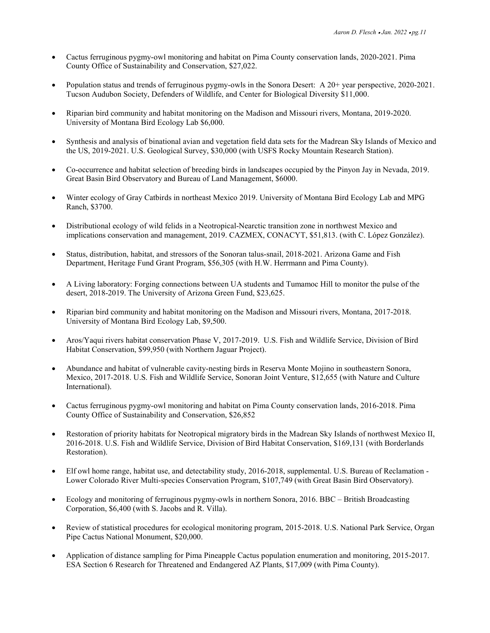- Cactus ferruginous pygmy-owl monitoring and habitat on Pima County conservation lands, 2020-2021. Pima County Office of Sustainability and Conservation, \$27,022.
- Population status and trends of ferruginous pygmy-owls in the Sonora Desert: A 20+ year perspective, 2020-2021. Tucson Audubon Society, Defenders of Wildlife, and Center for Biological Diversity \$11,000.
- Riparian bird community and habitat monitoring on the Madison and Missouri rivers, Montana, 2019-2020. University of Montana Bird Ecology Lab \$6,000.
- Synthesis and analysis of binational avian and vegetation field data sets for the Madrean Sky Islands of Mexico and the US, 2019-2021. U.S. Geological Survey, \$30,000 (with USFS Rocky Mountain Research Station).
- Co-occurrence and habitat selection of breeding birds in landscapes occupied by the Pinyon Jay in Nevada, 2019. Great Basin Bird Observatory and Bureau of Land Management, \$6000.
- Winter ecology of Gray Catbirds in northeast Mexico 2019. University of Montana Bird Ecology Lab and MPG Ranch, \$3700.
- Distributional ecology of wild felids in a Neotropical-Nearctic transition zone in northwest Mexico and implications conservation and management, 2019. CAZMEX, CONACYT, \$51,813. (with C. López González).
- Status, distribution, habitat, and stressors of the Sonoran talus-snail, 2018-2021. Arizona Game and Fish Department, Heritage Fund Grant Program, \$56,305 (with H.W. Herrmann and Pima County).
- A Living laboratory: Forging connections between UA students and Tumamoc Hill to monitor the pulse of the desert, 2018-2019. The University of Arizona Green Fund, \$23,625.
- Riparian bird community and habitat monitoring on the Madison and Missouri rivers, Montana, 2017-2018. University of Montana Bird Ecology Lab, \$9,500.
- Aros/Yaqui rivers habitat conservation Phase V, 2017-2019. U.S. Fish and Wildlife Service, Division of Bird Habitat Conservation, \$99,950 (with Northern Jaguar Project).
- Abundance and habitat of vulnerable cavity-nesting birds in Reserva Monte Mojino in southeastern Sonora, Mexico, 2017-2018. U.S. Fish and Wildlife Service, Sonoran Joint Venture, \$12,655 (with Nature and Culture International).
- Cactus ferruginous pygmy-owl monitoring and habitat on Pima County conservation lands, 2016-2018. Pima County Office of Sustainability and Conservation, \$26,852
- Restoration of priority habitats for Neotropical migratory birds in the Madrean Sky Islands of northwest Mexico II, 2016-2018. U.S. Fish and Wildlife Service, Division of Bird Habitat Conservation, \$169,131 (with Borderlands Restoration).
- Elf owl home range, habitat use, and detectability study, 2016-2018, supplemental. U.S. Bureau of Reclamation Lower Colorado River Multi-species Conservation Program, \$107,749 (with Great Basin Bird Observatory).
- Ecology and monitoring of ferruginous pygmy-owls in northern Sonora, 2016. BBC British Broadcasting Corporation, \$6,400 (with S. Jacobs and R. Villa).
- Review of statistical procedures for ecological monitoring program, 2015-2018. U.S. National Park Service, Organ Pipe Cactus National Monument, \$20,000.
- Application of distance sampling for Pima Pineapple Cactus population enumeration and monitoring, 2015-2017. ESA Section 6 Research for Threatened and Endangered AZ Plants, \$17,009 (with Pima County).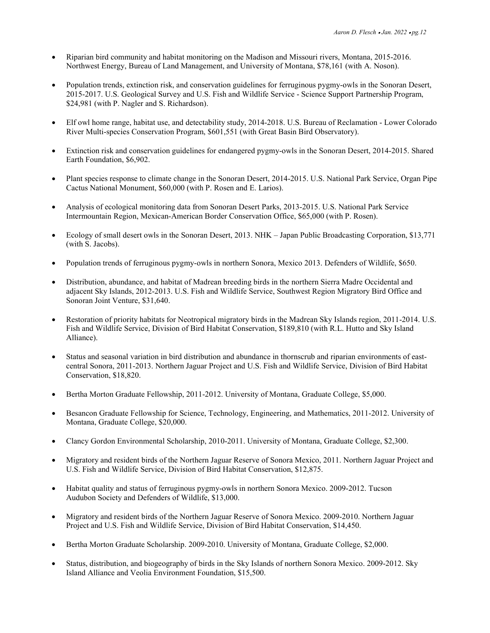- Riparian bird community and habitat monitoring on the Madison and Missouri rivers, Montana, 2015-2016. Northwest Energy, Bureau of Land Management, and University of Montana, \$78,161 (with A. Noson).
- Population trends, extinction risk, and conservation guidelines for ferruginous pygmy-owls in the Sonoran Desert, 2015-2017. U.S. Geological Survey and U.S. Fish and Wildlife Service - Science Support Partnership Program, \$24,981 (with P. Nagler and S. Richardson).
- Elf owl home range, habitat use, and detectability study, 2014-2018. U.S. Bureau of Reclamation Lower Colorado River Multi-species Conservation Program, \$601,551 (with Great Basin Bird Observatory).
- Extinction risk and conservation guidelines for endangered pygmy-owls in the Sonoran Desert, 2014-2015. Shared Earth Foundation, \$6,902.
- Plant species response to climate change in the Sonoran Desert, 2014-2015. U.S. National Park Service, Organ Pipe Cactus National Monument, \$60,000 (with P. Rosen and E. Larios).
- Analysis of ecological monitoring data from Sonoran Desert Parks, 2013-2015. U.S. National Park Service Intermountain Region, Mexican-American Border Conservation Office, \$65,000 (with P. Rosen).
- Ecology of small desert owls in the Sonoran Desert, 2013. NHK Japan Public Broadcasting Corporation, \$13,771 (with S. Jacobs).
- Population trends of ferruginous pygmy-owls in northern Sonora, Mexico 2013. Defenders of Wildlife, \$650.
- Distribution, abundance, and habitat of Madrean breeding birds in the northern Sierra Madre Occidental and adjacent Sky Islands, 2012-2013. U.S. Fish and Wildlife Service, Southwest Region Migratory Bird Office and Sonoran Joint Venture, \$31,640.
- Restoration of priority habitats for Neotropical migratory birds in the Madrean Sky Islands region, 2011-2014. U.S. Fish and Wildlife Service, Division of Bird Habitat Conservation, \$189,810 (with R.L. Hutto and Sky Island Alliance).
- Status and seasonal variation in bird distribution and abundance in thornscrub and riparian environments of eastcentral Sonora, 2011-2013. Northern Jaguar Project and U.S. Fish and Wildlife Service, Division of Bird Habitat Conservation, \$18,820.
- Bertha Morton Graduate Fellowship, 2011-2012. University of Montana, Graduate College, \$5,000.
- Besancon Graduate Fellowship for Science, Technology, Engineering, and Mathematics, 2011-2012. University of Montana, Graduate College, \$20,000.
- Clancy Gordon Environmental Scholarship, 2010-2011. University of Montana, Graduate College, \$2,300.
- Migratory and resident birds of the Northern Jaguar Reserve of Sonora Mexico, 2011. Northern Jaguar Project and U.S. Fish and Wildlife Service, Division of Bird Habitat Conservation, \$12,875.
- Habitat quality and status of ferruginous pygmy-owls in northern Sonora Mexico. 2009-2012. Tucson Audubon Society and Defenders of Wildlife, \$13,000.
- Migratory and resident birds of the Northern Jaguar Reserve of Sonora Mexico. 2009-2010. Northern Jaguar Project and U.S. Fish and Wildlife Service, Division of Bird Habitat Conservation, \$14,450.
- Bertha Morton Graduate Scholarship. 2009-2010. University of Montana, Graduate College, \$2,000.
- Status, distribution, and biogeography of birds in the Sky Islands of northern Sonora Mexico. 2009-2012. Sky Island Alliance and Veolia Environment Foundation, \$15,500.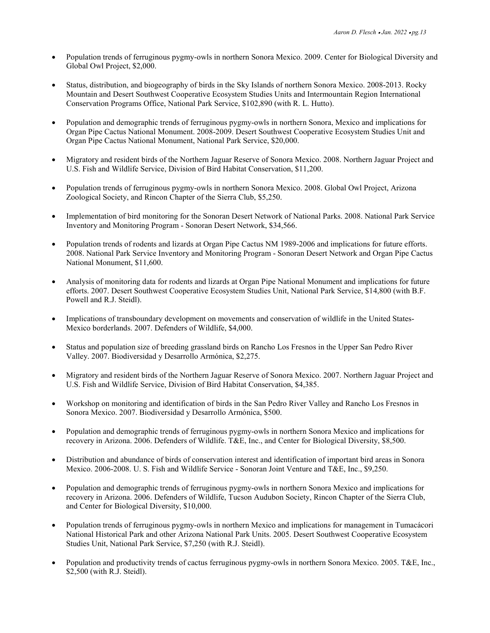- Population trends of ferruginous pygmy-owls in northern Sonora Mexico. 2009. Center for Biological Diversity and Global Owl Project, \$2,000.
- Status, distribution, and biogeography of birds in the Sky Islands of northern Sonora Mexico. 2008-2013. Rocky Mountain and Desert Southwest Cooperative Ecosystem Studies Units and Intermountain Region International Conservation Programs Office, National Park Service, \$102,890 (with R. L. Hutto).
- Population and demographic trends of ferruginous pygmy-owls in northern Sonora, Mexico and implications for Organ Pipe Cactus National Monument. 2008-2009. Desert Southwest Cooperative Ecosystem Studies Unit and Organ Pipe Cactus National Monument, National Park Service, \$20,000.
- Migratory and resident birds of the Northern Jaguar Reserve of Sonora Mexico. 2008. Northern Jaguar Project and U.S. Fish and Wildlife Service, Division of Bird Habitat Conservation, \$11,200.
- Population trends of ferruginous pygmy-owls in northern Sonora Mexico. 2008. Global Owl Project, Arizona Zoological Society, and Rincon Chapter of the Sierra Club, \$5,250.
- Implementation of bird monitoring for the Sonoran Desert Network of National Parks. 2008. National Park Service Inventory and Monitoring Program - Sonoran Desert Network, \$34,566.
- Population trends of rodents and lizards at Organ Pipe Cactus NM 1989-2006 and implications for future efforts. 2008. National Park Service Inventory and Monitoring Program - Sonoran Desert Network and Organ Pipe Cactus National Monument, \$11,600.
- Analysis of monitoring data for rodents and lizards at Organ Pipe National Monument and implications for future efforts. 2007. Desert Southwest Cooperative Ecosystem Studies Unit, National Park Service, \$14,800 (with B.F. Powell and R.J. Steidl).
- Implications of transboundary development on movements and conservation of wildlife in the United States-Mexico borderlands. 2007. Defenders of Wildlife, \$4,000.
- Status and population size of breeding grassland birds on Rancho Los Fresnos in the Upper San Pedro River Valley. 2007. Biodiversidad y Desarrollo Armónica, \$2,275.
- Migratory and resident birds of the Northern Jaguar Reserve of Sonora Mexico. 2007. Northern Jaguar Project and U.S. Fish and Wildlife Service, Division of Bird Habitat Conservation, \$4,385.
- Workshop on monitoring and identification of birds in the San Pedro River Valley and Rancho Los Fresnos in Sonora Mexico. 2007. Biodiversidad y Desarrollo Armónica, \$500.
- Population and demographic trends of ferruginous pygmy-owls in northern Sonora Mexico and implications for recovery in Arizona. 2006. Defenders of Wildlife. T&E, Inc., and Center for Biological Diversity, \$8,500.
- Distribution and abundance of birds of conservation interest and identification of important bird areas in Sonora Mexico. 2006-2008. U. S. Fish and Wildlife Service - Sonoran Joint Venture and T&E, Inc., \$9,250.
- Population and demographic trends of ferruginous pygmy-owls in northern Sonora Mexico and implications for recovery in Arizona. 2006. Defenders of Wildlife, Tucson Audubon Society, Rincon Chapter of the Sierra Club, and Center for Biological Diversity, \$10,000.
- Population trends of ferruginous pygmy-owls in northern Mexico and implications for management in Tumacácori National Historical Park and other Arizona National Park Units. 2005. Desert Southwest Cooperative Ecosystem Studies Unit, National Park Service, \$7,250 (with R.J. Steidl).
- Population and productivity trends of cactus ferruginous pygmy-owls in northern Sonora Mexico. 2005. T&E, Inc., \$2,500 (with R.J. Steidl).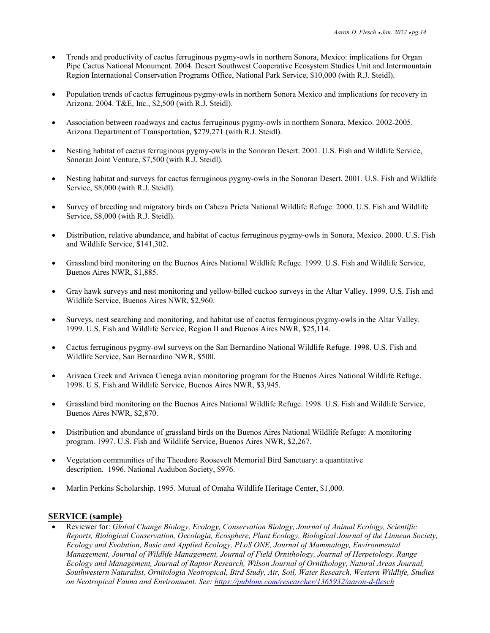- Trends and productivity of cactus ferruginous pygmy-owls in northern Sonora, Mexico: implications for Organ Pipe Cactus National Monument. 2004. Desert Southwest Cooperative Ecosystem Studies Unit and Intermountain Region International Conservation Programs Office, National Park Service, \$10,000 (with R.J. Steidl).
- Population trends of cactus ferruginous pygmy-owls in northern Sonora Mexico and implications for recovery in Arizona. 2004. T&E, Inc., \$2,500 (with R.J. Steidl).
- Association between roadways and cactus ferruginous pygmy-owls in northern Sonora, Mexico. 2002-2005. Arizona Department of Transportation, \$279,271 (with R.J. Steidl).
- Nesting habitat of cactus ferruginous pygmy-owls in the Sonoran Desert. 2001. U.S. Fish and Wildlife Service, Sonoran Joint Venture, \$7,500 (with R.J. Steidl).
- Nesting habitat and surveys for cactus ferruginous pygmy-owls in the Sonoran Desert. 2001. U.S. Fish and Wildlife Service, \$8,000 (with R.J. Steidl).
- Survey of breeding and migratory birds on Cabeza Prieta National Wildlife Refuge. 2000. U.S. Fish and Wildlife Service, \$8,000 (with R.J. Steidl).
- Distribution, relative abundance, and habitat of cactus ferruginous pygmy-owls in Sonora, Mexico. 2000. U.S. Fish and Wildlife Service, \$141,302.
- Grassland bird monitoring on the Buenos Aires National Wildlife Refuge. 1999. U.S. Fish and Wildlife Service, Buenos Aires NWR, \$1,885.
- Gray hawk surveys and nest monitoring and yellow-billed cuckoo surveys in the Altar Valley. 1999. U.S. Fish and Wildlife Service, Buenos Aires NWR, \$2,960.
- Surveys, nest searching and monitoring, and habitat use of cactus ferruginous pygmy-owls in the Altar Valley. 1999. U.S. Fish and Wildlife Service, Region II and Buenos Aires NWR, \$25,114.
- Cactus ferruginous pygmy-owl surveys on the San Bernardino National Wildlife Refuge. 1998. U.S. Fish and Wildlife Service, San Bernardino NWR, \$500.
- Arivaca Creek and Arivaca Cienega avian monitoring program for the Buenos Aires National Wildlife Refuge. 1998. U.S. Fish and Wildlife Service, Buenos Aires NWR, \$3,945.
- Grassland bird monitoring on the Buenos Aires National Wildlife Refuge. 1998. U.S. Fish and Wildlife Service, Buenos Aires NWR, \$2,870.
- Distribution and abundance of grassland birds on the Buenos Aires National Wildlife Refuge: A monitoring program. 1997. U.S. Fish and Wildlife Service, Buenos Aires NWR, \$2,267.
- Vegetation communities of the Theodore Roosevelt Memorial Bird Sanctuary: a quantitative description. 1996. National Audubon Society, \$976.
- Marlin Perkins Scholarship. 1995. Mutual of Omaha Wildlife Heritage Center, \$1,000.

#### **SERVICE (sample)**

• Reviewer for: *Global Change Biology, Ecology, Conservation Biology, Journal of Animal Ecology, Scientific Reports, Biological Conservation, Oecologia, Ecosphere, Plant Ecology, Biological Journal of the Linnean Society, Ecology and Evolution, Basic and Applied Ecology, PLoS ONE, Journal of Mammalogy, Environmental Management, Journal of Wildlife Management, Journal of Field Ornithology, Journal of Herpetology, Range Ecology and Management, Journal of Raptor Research, Wilson Journal of Ornithology, Natural Areas Journal, Southwestern Naturalist, Ornitologia Neotropical, Bird Study, Air, Soil, Water Research, Western Wildlife, Studies on Neotropical Fauna and Environment. See:<https://publons.com/researcher/1365932/aaron-d-flesch>*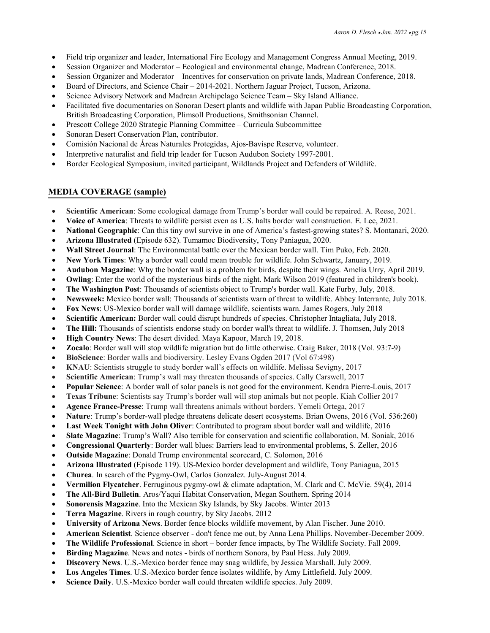- Field trip organizer and leader, International Fire Ecology and Management Congress Annual Meeting, 2019.
- Session Organizer and Moderator Ecological and environmental change, Madrean Conference, 2018.
- Session Organizer and Moderator Incentives for conservation on private lands, Madrean Conference, 2018.
- Board of Directors, and Science Chair 2014-2021. Northern Jaguar Project, Tucson, Arizona.
- Science Advisory Network and Madrean Archipelago Science Team Sky Island Alliance.
- Facilitated five documentaries on Sonoran Desert plants and wildlife with Japan Public Broadcasting Corporation, British Broadcasting Corporation, Plimsoll Productions, Smithsonian Channel.
- Prescott College 2020 Strategic Planning Committee Curricula Subcommittee
- Sonoran Desert Conservation Plan, contributor.
- Comisión Nacional de Áreas Naturales Protegidas, Ajos-Bavispe Reserve, volunteer.
- Interpretive naturalist and field trip leader for Tucson Audubon Society 1997-2001.
- Border Ecological Symposium, invited participant, Wildlands Project and Defenders of Wildlife.

# **MEDIA COVERAGE (sample)**

- **Scientific American**: Some ecological damage from Trump's border wall could be repaired. A. Reese, 2021.
- **Voice of America**: Threats to wildlife persist even as U.S. halts border wall construction. E. Lee, 2021.
- **National Geographic**: Can this tiny owl survive in one of America's fastest-growing states? S. Montanari, 2020.
- **Arizona Illustrated** (Episode 632). Tumamoc Biodiversity, Tony Paniagua, 2020.
- **Wall Street Journal**: The Environmental battle over the Mexican border wall. Tim Puko, Feb. 2020.
- **New York Times**: Why a border wall could mean trouble for wildlife. John Schwartz, January, 2019.
- **Audubon Magazine**: Why the border wall is a problem for birds, despite their wings. Amelia Urry, April 2019.
- **Owling**: Enter the world of the mysterious birds of the night. Mark Wilson 2019 (featured in children's book).
- **The Washington Post**: Thousands of scientists object to Trump's border wall. Kate Furby, July, 2018.
- **Newsweek:** Mexico border wall: Thousands of scientists warn of threat to wildlife. Abbey Interrante, July 2018.
- **Fox News**: US-Mexico border wall will damage wildlife, scientists warn. James Rogers, July 2018
- **Scientific American:** Border wall could disrupt hundreds of species. Christopher Intagliata, July 2018.
- **The Hill:** Thousands of scientists endorse study on border wall's threat to wildlife. J. Thomsen, July 2018
- **High Country News**: The desert divided. Maya Kapoor, March 19, 2018.
- **Zocalo**: Border wall will stop wildlife migration but do little otherwise. Craig Baker, 2018 (Vol. 93:7-9)
- **BioScience**: Border walls and biodiversity. Lesley Evans Ogden 2017 (Vol 67:498)
- **KNAU**: Scientists struggle to study border wall's effects on wildlife. Melissa Sevigny, 2017
- **Scientific American**: Trump's wall may threaten thousands of species. Cally Carswell, 2017
- **Popular Science**: A border wall of solar panels is not good for the environment. Kendra Pierre-Louis, 2017
- **Texas Tribune**: Scientists say Trump's border wall will stop animals but not people. Kiah Collier 2017
- **Agence France-Presse**: Trump wall threatens animals without borders. Yemeli Ortega, 2017
- **Nature**: Trump's border-wall pledge threatens delicate desert ecosystems. Brian Owens, 2016 (Vol. 536:260)
- **Last Week Tonight with John Oliver**: Contributed to program about border wall and wildlife, 2016
- **Slate Magazine**: Trump's Wall? Also terrible for conservation and scientific collaboration, M. Soniak, 2016
- **Congressional Quarterly**: Border wall blues: Barriers lead to environmental problems, S. Zeller, 2016
- **Outside Magazine**: Donald Trump environmental scorecard, C. Solomon, 2016
- **Arizona Illustrated** (Episode 119). US-Mexico border development and wildlife, Tony Paniagua, 2015
- **Churea**. In search of the Pygmy-Owl, Carlos Gonzalez. July-August 2014.
- **Vermilion Flycatcher**. Ferruginous pygmy-owl & climate adaptation, M. Clark and C. McVie. 59(4), 2014
- **The All-Bird Bulletin**. Aros/Yaqui Habitat Conservation, Megan Southern. Spring 2014
- **Sonorensis Magazine**. Into the Mexican Sky Islands, by Sky Jacobs. Winter 2013
- **Terra Magazine**. Rivers in rough country, by Sky Jacobs. 2012
- **University of Arizona News**. Border fence blocks wildlife movement, by Alan Fischer. June 2010.
- **American Scientist**. Science observer don't fence me out, by Anna Lena Phillips. November-December 2009.
- **The Wildlife Professional**. Science in short border fence impacts, by The Wildlife Society. Fall 2009.
- **Birding Magazine**. News and notes birds of northern Sonora, by Paul Hess. July 2009.
- **Discovery News**. U.S.-Mexico border fence may snag wildlife, by Jessica Marshall. July 2009.
- **Los Angeles Times**. U.S.-Mexico border fence isolates wildlife, by Amy Littlefield. July 2009.
- **Science Daily**. U.S.-Mexico border wall could threaten wildlife species. July 2009.